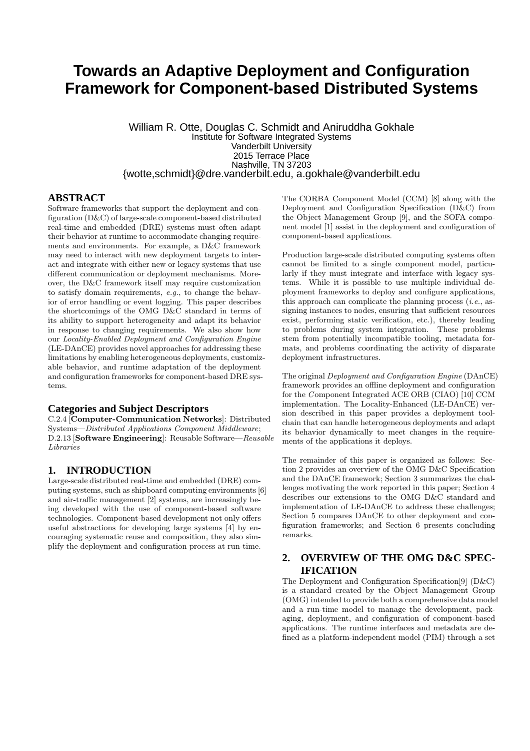# **Towards an Adaptive Deployment and Configuration Framework for Component-based Distributed Systems**

William R. Otte, Douglas C. Schmidt and Aniruddha Gokhale Institute for Software Integrated Systems Vanderbilt University 2015 Terrace Place Nashville, TN 37203 {wotte,schmidt}@dre.vanderbilt.edu, a.gokhale@vanderbilt.edu

#### **ABSTRACT**

Software frameworks that support the deployment and configuration (D&C) of large-scale component-based distributed real-time and embedded (DRE) systems must often adapt their behavior at runtime to accommodate changing requirements and environments. For example, a D&C framework may need to interact with new deployment targets to interact and integrate with either new or legacy systems that use different communication or deployment mechanisms. Moreover, the D&C framework itself may require customization to satisfy domain requirements, *e.g.*, to change the behavior of error handling or event logging. This paper describes the shortcomings of the OMG D&C standard in terms of its ability to support heterogeneity and adapt its behavior in response to changing requirements. We also show how our *Locality-Enabled Deployment and Configuration Engine* (LE-DAnCE) provides novel approaches for addressing these limitations by enabling heterogeneous deployments, customizable behavior, and runtime adaptation of the deployment and configuration frameworks for component-based DRE systems.

#### **Categories and Subject Descriptors**

C.2.4 [Computer-Communication Networks]: Distributed Systems—*Distributed Applications Component Middleware*; D.2.13 [Software Engineering]: Reusable Software—*Reusable Libraries*

#### **1. INTRODUCTION**

Large-scale distributed real-time and embedded (DRE) computing systems, such as shipboard computing environments [6] and air-traffic management [2] systems, are increasingly being developed with the use of component-based software technologies. Component-based development not only offers useful abstractions for developing large systems [4] by encouraging systematic reuse and composition, they also simplify the deployment and configuration process at run-time.

The CORBA Component Model (CCM) [8] along with the Deployment and Configuration Specification (D&C) from the Object Management Group [9], and the SOFA component model [1] assist in the deployment and configuration of component-based applications.

Production large-scale distributed computing systems often cannot be limited to a single component model, particularly if they must integrate and interface with legacy systems. While it is possible to use multiple individual deployment frameworks to deploy and configure applications, this approach can complicate the planning process (*i.e.*, assigning instances to nodes, ensuring that sufficient resources exist, performing static verification, etc.), thereby leading to problems during system integration. These problems stem from potentially incompatible tooling, metadata formats, and problems coordinating the activity of disparate deployment infrastructures.

The original *Deployment and Configuration Engine* (DAnCE) framework provides an offline deployment and configuration for the *C*omponent Integrated ACE ORB (CIAO) [10] CCM implementation. The Locality-Enhanced (LE-DAnCE) version described in this paper provides a deployment toolchain that can handle heterogeneous deployments and adapt its behavior dynamically to meet changes in the requirements of the applications it deploys.

The remainder of this paper is organized as follows: Section 2 provides an overview of the OMG D&C Specification and the DAnCE framework; Section 3 summarizes the challenges motivating the work reported in this paper; Section 4 describes our extensions to the OMG D&C standard and implementation of LE-DAnCE to address these challenges; Section 5 compares DAnCE to other deployment and configuration frameworks; and Section 6 presents concluding remarks.

#### **2. OVERVIEW OF THE OMG D&C SPEC-IFICATION**

The Deployment and Configuration Specification[9] (D&C) is a standard created by the Object Management Group (OMG) intended to provide both a comprehensive data model and a run-time model to manage the development, packaging, deployment, and configuration of component-based applications. The runtime interfaces and metadata are defined as a platform-independent model (PIM) through a set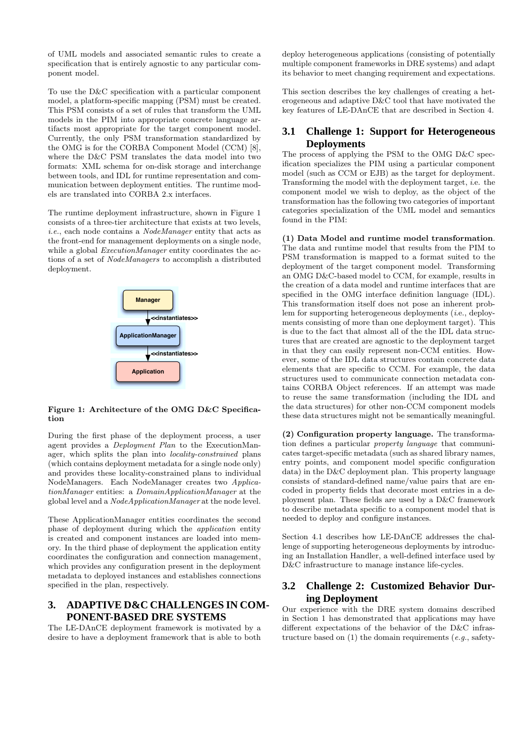of UML models and associated semantic rules to create a specification that is entirely agnostic to any particular component model.

To use the D&C specification with a particular component model, a platform-specific mapping (PSM) must be created. This PSM consists of a set of rules that transform the UML models in the PIM into appropriate concrete language artifacts most appropriate for the target component model. Currently, the only PSM transformation standardized by the OMG is for the CORBA Component Model (CCM) [8], where the D&C PSM translates the data model into two formats: XML schema for on-disk storage and interchange between tools, and IDL for runtime representation and communication between deployment entities. The runtime models are translated into CORBA 2.x interfaces.

The runtime deployment infrastructure, shown in Figure 1 consists of a three-tier architecture that exists at two levels, *i.e.*, each node contains a *NodeManager* entity that acts as the front-end for management deployments on a single node, while a global *ExecutionManager* entity coordinates the actions of a set of *NodeManagers* to accomplish a distributed deployment.



#### Figure 1: Architecture of the OMG D&C Specification

During the first phase of the deployment process, a user agent provides a *Deployment Plan* to the ExecutionManager, which splits the plan into *locality-constrained* plans (which contains deployment metadata for a single node only) and provides these locality-constrained plans to individual NodeManagers. Each NodeManager creates two *ApplicationManager* entities: a *DomainApplicationManager* at the global level and a *NodeApplicationManager* at the node level.

These ApplicationManager entities coordinates the second phase of deployment during which the *application* entity is created and component instances are loaded into memory. In the third phase of deployment the application entity coordinates the configuration and connection management, which provides any configuration present in the deployment metadata to deployed instances and establishes connections specified in the plan, respectively.

#### **3. ADAPTIVE D&C CHALLENGES IN COM-PONENT-BASED DRE SYSTEMS**

The LE-DAnCE deployment framework is motivated by a desire to have a deployment framework that is able to both

deploy heterogeneous applications (consisting of potentially multiple component frameworks in DRE systems) and adapt its behavior to meet changing requirement and expectations.

This section describes the key challenges of creating a heterogeneous and adaptive D&C tool that have motivated the key features of LE-DAnCE that are described in Section 4.

# **3.1 Challenge 1: Support for Heterogeneous Deployments**

The process of applying the PSM to the OMG D&C specification specializes the PIM using a particular component model (such as CCM or EJB) as the target for deployment. Transforming the model with the deployment target, *i*.e. the component model we wish to deploy, as the object of the transformation has the following two categories of important categories specialization of the UML model and semantics found in the PIM:

(1) Data Model and runtime model transformation. The data and runtime model that results from the PIM to PSM transformation is mapped to a format suited to the deployment of the target component model. Transforming an OMG D&C-based model to CCM, for example, results in the creation of a data model and runtime interfaces that are specified in the OMG interface definition language (IDL). This transformation itself does not pose an inherent problem for supporting heterogeneous deployments (*i*.e., deployments consisting of more than one deployment target). This is due to the fact that almost all of the the IDL data structures that are created are agnostic to the deployment target in that they can easily represent non-CCM entities. However, some of the IDL data structures contain concrete data elements that are specific to CCM. For example, the data structures used to communicate connection metadata contains CORBA Object references. If an attempt was made to reuse the same transformation (including the IDL and the data structures) for other non-CCM component models these data structures might not be semantically meaningful.

(2) Configuration property language. The transformation defines a particular *property language* that communicates target-specific metadata (such as shared library names, entry points, and component model specific configuration data) in the D&C deployment plan. This property language consists of standard-defined name/value pairs that are encoded in property fields that decorate most entries in a deployment plan. These fields are used by a D&C framework to describe metadata specific to a component model that is needed to deploy and configure instances.

Section 4.1 describes how LE-DAnCE addresses the challenge of supporting heterogeneous deployments by introducing an Installation Handler, a well-defined interface used by D&C infrastructure to manage instance life-cycles.

# **3.2 Challenge 2: Customized Behavior During Deployment**

Our experience with the DRE system domains described in Section 1 has demonstrated that applications may have different expectations of the behavior of the D&C infrastructure based on (1) the domain requirements (*e.g.*, safety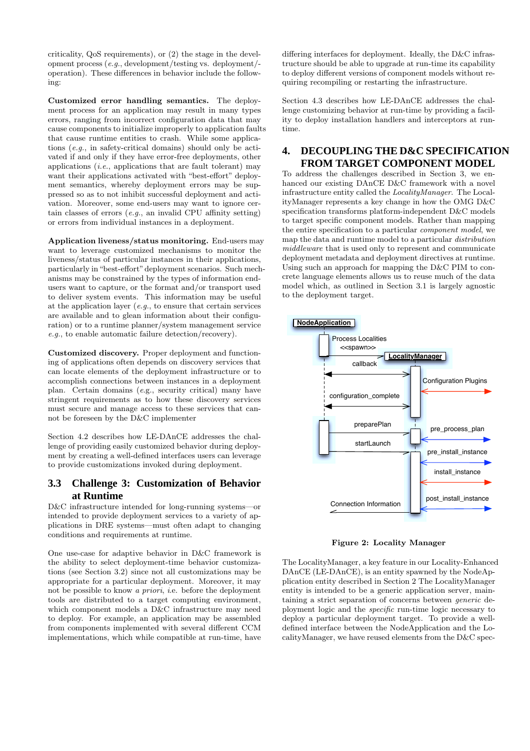criticality, QoS requirements), or (2) the stage in the development process (*e.g.*, development/testing vs. deployment/operation). These differences in behavior include the following:

Customized error handling semantics. The deployment process for an application may result in many types errors, ranging from incorrect configuration data that may cause components to initialize improperly to application faults that cause runtime entities to crash. While some applications (*e.g.*, in safety-critical domains) should only be activated if and only if they have error-free deployments, other applications (*i.e.*, applications that are fault tolerant) may want their applications activated with "best-effort" deployment semantics, whereby deployment errors may be suppressed so as to not inhibit successful deployment and activation. Moreover, some end-users may want to ignore certain classes of errors (*e.g.*, an invalid CPU affinity setting) or errors from individual instances in a deployment.

Application liveness/status monitoring. End-users may want to leverage customized mechanisms to monitor the liveness/status of particular instances in their applications, particularly in"best-effort"deployment scenarios. Such mechanisms may be constrained by the types of information endusers want to capture, or the format and/or transport used to deliver system events. This information may be useful at the application layer (*e.g.*, to ensure that certain services are available and to glean information about their configuration) or to a runtime planner/system management service *e.g.*, to enable automatic failure detection/recovery).

Customized discovery. Proper deployment and functioning of applications often depends on discovery services that can locate elements of the deployment infrastructure or to accomplish connections between instances in a deployment plan. Certain domains (*e*.g., security critical) many have stringent requirements as to how these discovery services must secure and manage access to these services that cannot be foreseen by the D&C implementer

Section 4.2 describes how LE-DAnCE addresses the challenge of providing easily customized behavior during deployment by creating a well-defined interfaces users can leverage to provide customizations invoked during deployment.

# **3.3 Challenge 3: Customization of Behavior at Runtime**

D&C infrastructure intended for long-running systems—or intended to provide deployment services to a variety of applications in DRE systems—must often adapt to changing conditions and requirements at runtime.

One use-case for adaptive behavior in D&C framework is the ability to select deployment-time behavior customizations (see Section 3.2) since not all customizations may be appropriate for a particular deployment. Moreover, it may not be possible to know *a priori*, *i*.e. before the deployment tools are distributed to a target computing environment, which component models a D&C infrastructure may need to deploy. For example, an application may be assembled from components implemented with several different CCM implementations, which while compatible at run-time, have

differing interfaces for deployment. Ideally, the D&C infrastructure should be able to upgrade at run-time its capability to deploy different versions of component models without requiring recompiling or restarting the infrastructure.

Section 4.3 describes how LE-DAnCE addresses the challenge customizing behavior at run-time by providing a facility to deploy installation handlers and interceptors at runtime.

#### **4. DECOUPLING THE D&C SPECIFICATION FROM TARGET COMPONENT MODEL**

To address the challenges described in Section 3, we enhanced our existing DAnCE D&C framework with a novel infrastructure entity called the *LocalityManager*. The LocalityManager represents a key change in how the OMG D&C specification transforms platform-independent D&C models to target specific component models. Rather than mapping the entire specification to a particular *component model*, we map the data and runtime model to a particular *distribution middleware* that is used only to represent and communicate deployment metadata and deployment directives at runtime. Using such an approach for mapping the D&C PIM to concrete language elements allows us to reuse much of the data model which, as outlined in Section 3.1 is largely agnostic to the deployment target.



Figure 2: Locality Manager

The LocalityManager, a key feature in our Locality-Enhanced DAnCE (LE-DAnCE), is an entity spawned by the NodeApplication entity described in Section 2 The LocalityManager entity is intended to be a generic application server, maintaining a strict separation of concerns between *generic* deployment logic and the *specific* run-time logic necessary to deploy a particular deployment target. To provide a welldefined interface between the NodeApplication and the LocalityManager, we have reused elements from the D&C spec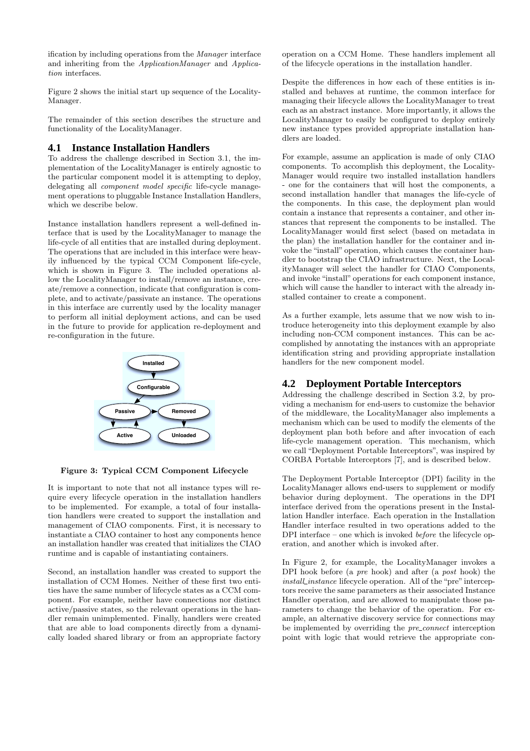ification by including operations from the *Manager* interface and inheriting from the *ApplicationManager* and *Application* interfaces.

Figure 2 shows the initial start up sequence of the Locality-Manager.

The remainder of this section describes the structure and functionality of the LocalityManager.

#### **4.1 Instance Installation Handlers**

To address the challenge described in Section 3.1, the implementation of the LocalityManager is entirely agnostic to the particular component model it is attempting to deploy, delegating all *component model specific* life-cycle management operations to pluggable Instance Installation Handlers, which we describe below.

Instance installation handlers represent a well-defined interface that is used by the LocalityManager to manage the life-cycle of all entities that are installed during deployment. The operations that are included in this interface were heavily influenced by the typical CCM Component life-cycle, which is shown in Figure 3. The included operations allow the LocalityManager to install/remove an instance, create/remove a connection, indicate that configuration is complete, and to activate/passivate an instance. The operations in this interface are currently used by the locality manager to perform all initial deployment actions, and can be used in the future to provide for application re-deployment and re-configuration in the future.



Figure 3: Typical CCM Component Lifecycle

It is important to note that not all instance types will require every lifecycle operation in the installation handlers to be implemented. For example, a total of four installation handlers were created to support the installation and management of CIAO components. First, it is necessary to instantiate a CIAO container to host any components hence an installation handler was created that initializes the CIAO runtime and is capable of instantiating containers.

Second, an installation handler was created to support the installation of CCM Homes. Neither of these first two entities have the same number of lifecycle states as a CCM component. For example, neither have connections nor distinct active/passive states, so the relevant operations in the handler remain unimplemented. Finally, handlers were created that are able to load components directly from a dynamically loaded shared library or from an appropriate factory

operation on a CCM Home. These handlers implement all of the lifecycle operations in the installation handler.

Despite the differences in how each of these entities is installed and behaves at runtime, the common interface for managing their lifecycle allows the LocalityManager to treat each as an abstract instance. More importantly, it allows the LocalityManager to easily be configured to deploy entirely new instance types provided appropriate installation handlers are loaded.

For example, assume an application is made of only CIAO components. To accomplish this deployment, the Locality-Manager would require two installed installation handlers - one for the containers that will host the components, a second installation handler that manages the life-cycle of the components. In this case, the deployment plan would contain a instance that represents a container, and other instances that represent the components to be installed. The LocalityManager would first select (based on metadata in the plan) the installation handler for the container and invoke the "install" operation, which causes the container handler to bootstrap the CIAO infrastructure. Next, the LocalityManager will select the handler for CIAO Components, and invoke "install" operations for each component instance, which will cause the handler to interact with the already installed container to create a component.

As a further example, lets assume that we now wish to introduce heterogeneity into this deployment example by also including non-CCM component instances. This can be accomplished by annotating the instances with an appropriate identification string and providing appropriate installation handlers for the new component model.

#### **4.2 Deployment Portable Interceptors**

Addressing the challenge described in Section 3.2, by providing a mechanism for end-users to customize the behavior of the middleware, the LocalityManager also implements a mechanism which can be used to modify the elements of the deployment plan both before and after invocation of each life-cycle management operation. This mechanism, which we call "Deployment Portable Interceptors", was inspired by CORBA Portable Interceptors [7], and is described below.

The Deployment Portable Interceptor (DPI) facility in the LocalityManager allows end-users to supplement or modify behavior during deployment. The operations in the DPI interface derived from the operations present in the Installation Handler interface. Each operation in the Installation Handler interface resulted in two operations added to the DPI interface – one which is invoked *before* the lifecycle operation, and another which is invoked after.

In Figure 2, for example, the LocalityManager invokes a DPI hook before (a *pre* hook) and after (a *post* hook) the *install\_instance* lifecycle operation. All of the "pre" interceptors receive the same parameters as their associated Instance Handler operation, and are allowed to manipulate those parameters to change the behavior of the operation. For example, an alternative discovery service for connections may be implemented by overriding the *pre connect* interception point with logic that would retrieve the appropriate con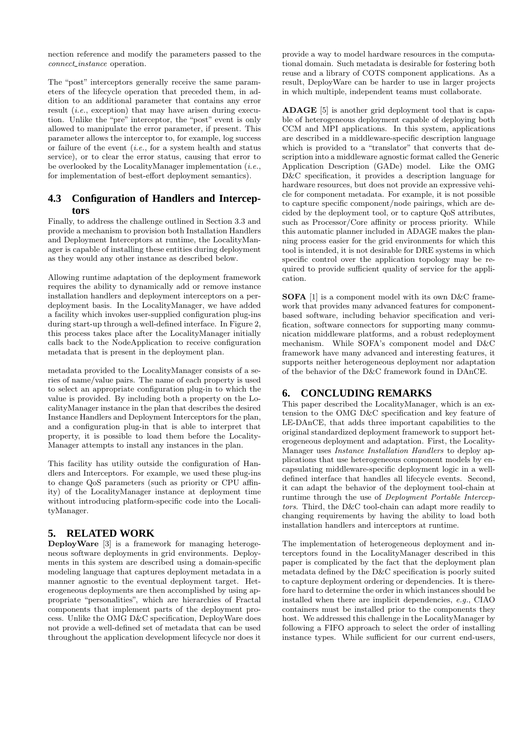nection reference and modify the parameters passed to the *connect instance* operation.

The "post" interceptors generally receive the same parameters of the lifecycle operation that preceded them, in addition to an additional parameter that contains any error result (*i.e.*, exception) that may have arisen during execution. Unlike the "pre" interceptor, the "post" event is only allowed to manipulate the error parameter, if present. This parameter allows the interceptor to, for example, log success or failure of the event (*i.e.*, for a system health and status service), or to clear the error status, causing that error to be overlooked by the LocalityManager implementation (*i.e.*, for implementation of best-effort deployment semantics).

#### **4.3 Configuration of Handlers and Interceptors**

Finally, to address the challenge outlined in Section 3.3 and provide a mechanism to provision both Installation Handlers and Deployment Interceptors at runtime, the LocalityManager is capable of installing these entities during deployment as they would any other instance as described below.

Allowing runtime adaptation of the deployment framework requires the ability to dynamically add or remove instance installation handlers and deployment interceptors on a perdeployment basis. In the LocalityManager, we have added a facility which invokes user-supplied configuration plug-ins during start-up through a well-defined interface. In Figure 2, this process takes place after the LocalityManager initially calls back to the NodeApplication to receive configuration metadata that is present in the deployment plan.

metadata provided to the LocalityManager consists of a series of name/value pairs. The name of each property is used to select an appropriate configuration plug-in to which the value is provided. By including both a property on the LocalityManager instance in the plan that describes the desired Instance Handlers and Deployment Interceptors for the plan, and a configuration plug-in that is able to interpret that property, it is possible to load them before the Locality-Manager attempts to install any instances in the plan.

This facility has utility outside the configuration of Handlers and Interceptors. For example, we used these plug-ins to change QoS parameters (such as priority or CPU affinity) of the LocalityManager instance at deployment time without introducing platform-specific code into the LocalityManager.

#### **5. RELATED WORK**

DeployWare [3] is a framework for managing heterogeneous software deployments in grid environments. Deployments in this system are described using a domain-specific modeling language that captures deployment metadata in a manner agnostic to the eventual deployment target. Heterogeneous deployments are then accomplished by using appropriate "personalities", which are hierarchies of Fractal components that implement parts of the deployment process. Unlike the OMG D&C specification, DeployWare does not provide a well-defined set of metadata that can be used throughout the application development lifecycle nor does it

provide a way to model hardware resources in the computational domain. Such metadata is desirable for fostering both reuse and a library of COTS component applications. As a result, DeployWare can be harder to use in larger projects in which multiple, independent teams must collaborate.

ADAGE [5] is another grid deployment tool that is capable of heterogeneous deployment capable of deploying both CCM and MPI applications. In this system, applications are described in a middleware-specific description language which is provided to a "translator" that converts that description into a middleware agnostic format called the Generic Application Description (GADe) model. Like the OMG D&C specification, it provides a description language for hardware resources, but does not provide an expressive vehicle for component metadata. For example, it is not possible to capture specific component/node pairings, which are decided by the deployment tool, or to capture QoS attributes, such as Processor/Core affinity or process priority. While this automatic planner included in ADAGE makes the planning process easier for the grid environments for which this tool is intended, it is not desirable for DRE systems in which specific control over the application topology may be required to provide sufficient quality of service for the application.

SOFA [1] is a component model with its own D&C framework that provides many advanced features for componentbased software, including behavior specification and verification, software connectors for supporting many communication middleware platforms, and a robust redeployment mechanism. While SOFA's component model and D&C framework have many advanced and interesting features, it supports neither heterogeneous deployment nor adaptation of the behavior of the D&C framework found in DAnCE.

# **6. CONCLUDING REMARKS**

This paper described the LocalityManager, which is an extension to the OMG D&C specification and key feature of LE-DAnCE, that adds three important capabilities to the original standardized deployment framework to support heterogeneous deployment and adaptation. First, the Locality-Manager uses *Instance Installation Handlers* to deploy applications that use heterogeneous component models by encapsulating middleware-specific deployment logic in a welldefined interface that handles all lifecycle events. Second, it can adapt the behavior of the deployment tool-chain at runtime through the use of *Deployment Portable Interceptors*. Third, the D&C tool-chain can adapt more readily to changing requirements by having the ability to load both installation handlers and interceptors at runtime.

The implementation of heterogeneous deployment and interceptors found in the LocalityManager described in this paper is complicated by the fact that the deployment plan metadata defined by the D&C specification is poorly suited to capture deployment ordering or dependencies. It is therefore hard to determine the order in which instances should be installed when there are implicit dependencies, *e.g.*, CIAO containers must be installed prior to the components they host. We addressed this challenge in the LocalityManager by following a FIFO approach to select the order of installing instance types. While sufficient for our current end-users,